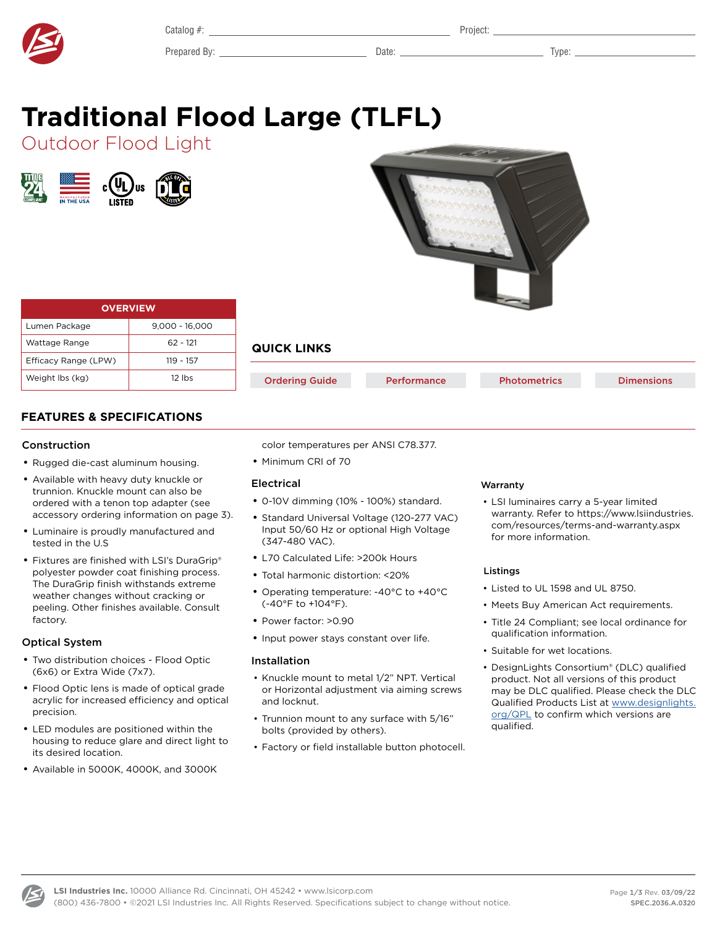Catalog #: Project:

Prepared By: Date: Type:

# <span id="page-0-0"></span>**Traditional Flood Large (TLFL)**

Outdoor Flood Light





| <b>OVERVIEW</b>      |                  |  |  |  |  |  |  |
|----------------------|------------------|--|--|--|--|--|--|
| Lumen Package        | $9.000 - 16.000$ |  |  |  |  |  |  |
| Wattage Range        | 62 - 121         |  |  |  |  |  |  |
| Efficacy Range (LPW) | $119 - 157$      |  |  |  |  |  |  |
| Weight Ibs (kg)      | $12$ lbs         |  |  |  |  |  |  |

### **QUICK LINKS**

| <b>Ordering Guide</b> | <b>Performance</b> | <b>Photometrics</b> | <b>Dimensions</b> |
|-----------------------|--------------------|---------------------|-------------------|
|                       |                    |                     |                   |

#### **FEATURES & SPECIFICATIONS**

#### Construction

- Rugged die-cast aluminum housing.
- Available with heavy duty knuckle or trunnion. Knuckle mount can also be ordered with a tenon top adapter (see accessory ordering information on page 3).
- Luminaire is proudly manufactured and tested in the U.S
- Fixtures are finished with LSI's DuraGrip® polyester powder coat finishing process. The DuraGrip finish withstands extreme weather changes without cracking or peeling. Other finishes available. Consult factory.

#### Optical System

- Two distribution choices Flood Optic (6x6) or Extra Wide (7x7).
- Flood Optic lens is made of optical grade acrylic for increased efficiency and optical precision.
- LED modules are positioned within the housing to reduce glare and direct light to its desired location.
- Available in 5000K, 4000K, and 3000K
- color temperatures per ANSI C78.377.
- Minimum CRI of 70

#### Electrical

- 0-10V dimming (10% 100%) standard.
- Standard Universal Voltage (120-277 VAC) Input 50/60 Hz or optional High Voltage (347-480 VAC).
- L70 Calculated Life: >200k Hours
- Total harmonic distortion: <20%
- Operating temperature: -40°C to +40°C (-40°F to +104°F).
- Power factor: >0.90
- Input power stays constant over life.

#### Installation

- Knuckle mount to metal 1/2" NPT. Vertical or Horizontal adjustment via aiming screws and locknut.
- Trunnion mount to any surface with 5/16" bolts (provided by others).
- Factory or field installable button photocell.

#### Warranty

• LSI luminaires carry a 5-year limited warranty. Refer to https://www.lsiindustries. com/resources/terms-and-warranty.aspx for more information.

#### Listings

- Listed to UL 1598 and UL 8750.
- Meets Buy American Act requirements.
- Title 24 Compliant; see local ordinance for qualification information.
- Suitable for wet locations.
- DesignLights Consortium® (DLC) qualified product. Not all versions of this product may be DLC qualified. Please check the DLC Qualified Products List at www.designlights. org/QPL to confirm which versions are qualified.

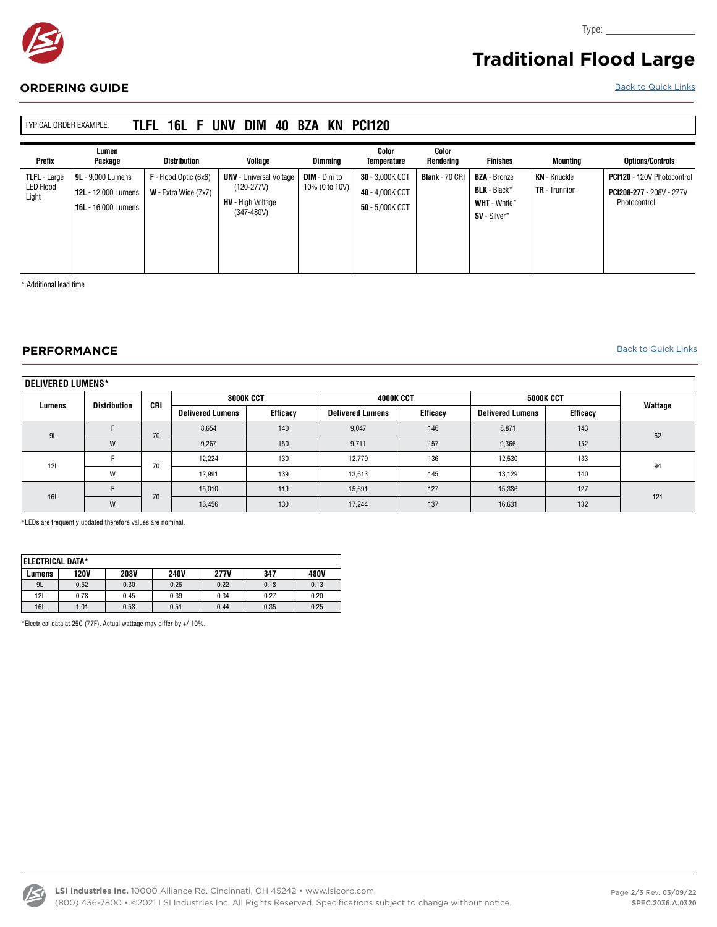

## **Traditional Flood Large**

Type:

#### <span id="page-1-0"></span>**ORDERING GUIDE** [Back to Quick Links](#page-0-0)

| <b>TYPICAL ORDER EXAMPLE:</b>                    |                                                                                      | TLFL 16L F                                      | DIM<br><b>UNV</b><br>40                                                                      | BZA<br>KN                             | <b>PCI120</b>                                         |                       |                                                                                   |                                             |                                                                                      |
|--------------------------------------------------|--------------------------------------------------------------------------------------|-------------------------------------------------|----------------------------------------------------------------------------------------------|---------------------------------------|-------------------------------------------------------|-----------------------|-----------------------------------------------------------------------------------|---------------------------------------------|--------------------------------------------------------------------------------------|
| Prefix                                           | Lumen<br>Package                                                                     | <b>Distribution</b>                             | Voltage                                                                                      | Dimmina                               | Color<br><b>Temperature</b>                           | Color<br>Renderina    | <b>Finishes</b>                                                                   | Mountina                                    | <b>Options/Controls</b>                                                              |
| <b>TLFL - Large</b><br><b>LED Flood</b><br>Light | <b>9L</b> - 9.000 Lumens<br><b>12L</b> - 12,000 Lumens<br><b>16L</b> - 16,000 Lumens | F - Flood Optic (6x6)<br>$W$ - Extra Wide (7x7) | <b>UNV</b> - Universal Voltage<br>$(120-277V)$<br><b>HV</b> - High Voltage<br>$(347 - 480V)$ | <b>DIM</b> - Dim to<br>10% (0 to 10V) | 30 - 3,000K CCT<br>40 - 4,000K CCT<br>50 - 5.000K CCT | <b>Blank</b> - 70 CRI | <b>BZA</b> - Bronze<br><b>BLK</b> - Black*<br><b>WHT</b> - White*<br>SV - Silver* | <b>KN</b> - Knuckle<br><b>TR</b> - Trunnion | <b>PCI120</b> - 120V Photocontrol<br><b>PCI208-277 - 208V - 277V</b><br>Photocontrol |

\* Additional lead time

#### **PERFORMANCE** [Back to Quick Links](#page-0-0)

| DELIVERED LUMENS* |              |         |                         |          |                         |          |                         |          |         |
|-------------------|--------------|---------|-------------------------|----------|-------------------------|----------|-------------------------|----------|---------|
| Lumens            | Distribution | CRI     | 3000K CCT               |          | 4000K CCT               |          | 5000K CCT               |          | Wattage |
|                   |              |         | <b>Delivered Lumens</b> | Efficacy | <b>Delivered Lumens</b> | Efficacy | <b>Delivered Lumens</b> | Efficacy |         |
| 9L                |              | 70      | 8.654                   | 140      | 9,047                   | 146      | 8,871                   | 143      | 62      |
|                   | W            |         | 9,267                   | 150      | 9,711                   | 157      | 9,366                   | 152      |         |
| 12L               |              | 70<br>W | 12,224                  | 130      | 12,779                  | 136      | 12,530                  | 133      | 94      |
|                   |              |         | 12,991                  | 139      | 13,613                  | 145      | 13,129                  | 140      |         |
| <b>16L</b>        |              | 70      | 15,010                  | 119      | 15,691                  | 127      | 15,386                  | 127      | 121     |
|                   | W            |         | 16,456                  | 130      | 17,244                  | 137      | 16,631                  | 132      |         |

\*LEDs are frequently updated therefore values are nominal.

| ELECTRICAL DATA* |             |             |             |             |      |      |  |  |  |
|------------------|-------------|-------------|-------------|-------------|------|------|--|--|--|
| Lumens           | <b>120V</b> | <b>208V</b> | <b>240V</b> | <b>277V</b> | 347  | 480V |  |  |  |
| 9L               | 0.52        | 0.30        | 0.26        | 0.22        | 0.18 | 0.13 |  |  |  |
| 12L              | 0.78        | 0.45        | 0.39        | 0.34        | 0.27 | 0.20 |  |  |  |
| <b>16L</b>       | 1.01        | 0.58        | 0.51        | 0.44        | 0.35 | 0.25 |  |  |  |

\*Electrical data at 25C (77F). Actual wattage may differ by +/-10%.